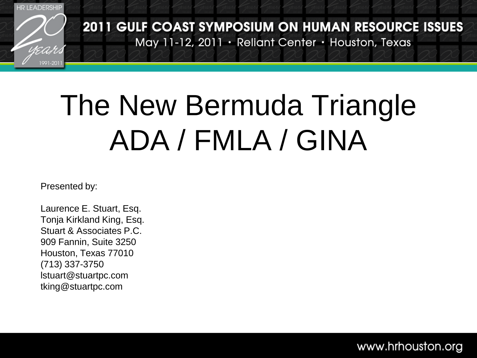

#### The New Bermuda Triangle ADA / FMLA / GINA

Presented by:

Laurence E. Stuart, Esq. Tonja Kirkland King, Esq. Stuart & Associates P.C. 909 Fannin, Suite 3250 Houston, Texas 77010 (713) 337-3750 lstuart@stuartpc.com tking@stuartpc.com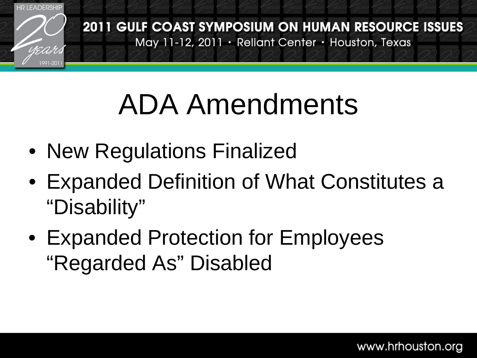

#### ADA Amendments

- New Regulations Finalized
- Expanded Definition of What Constitutes a "Disability"
- Expanded Protection for Employees "Regarded As" Disabled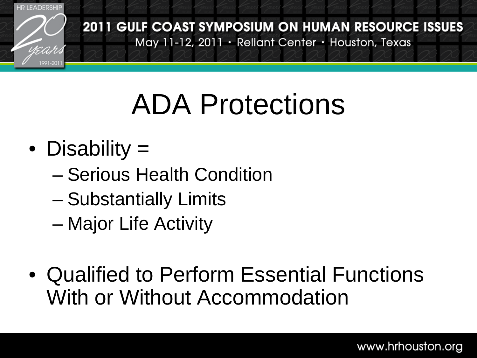

#### ADA Protections

- Disability =
	- Serious Health Condition
	- Substantially Limits
	- Major Life Activity
- Qualified to Perform Essential Functions With or Without Accommodation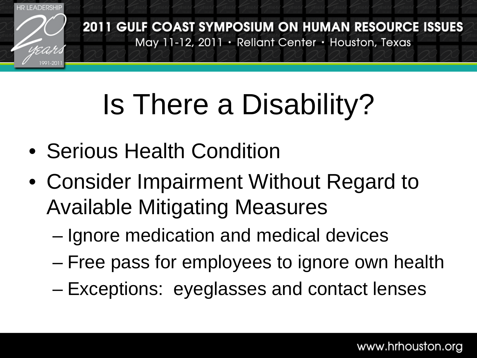

### Is There a Disability?

- Serious Health Condition
- Consider Impairment Without Regard to Available Mitigating Measures
	- Ignore medication and medical devices
	- Free pass for employees to ignore own health
	- Exceptions: eyeglasses and contact lenses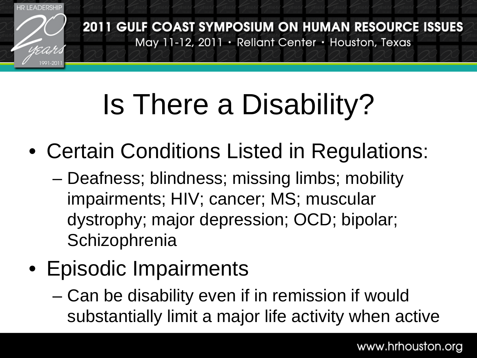

## Is There a Disability?

- Certain Conditions Listed in Regulations:
	- Deafness; blindness; missing limbs; mobility impairments; HIV; cancer; MS; muscular dystrophy; major depression; OCD; bipolar; **Schizophrenia**
- Episodic Impairments
	- Can be disability even if in remission if would substantially limit a major life activity when active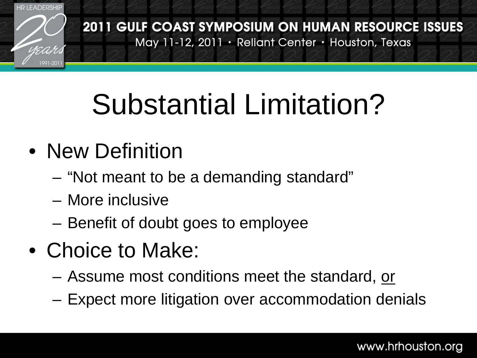

## Substantial Limitation?

#### • New Definition

- "Not meant to be a demanding standard"
- More inclusive
- Benefit of doubt goes to employee
- Choice to Make:
	- Assume most conditions meet the standard, or
	- Expect more litigation over accommodation denials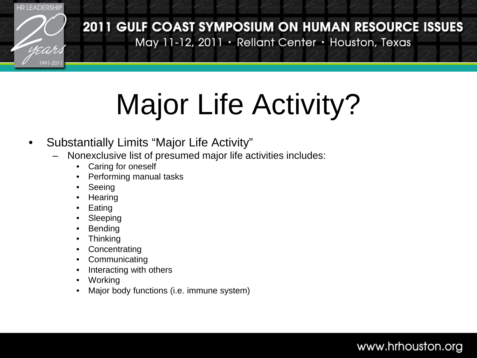

## Major Life Activity?

#### • Substantially Limits "Major Life Activity"

- Nonexclusive list of presumed major life activities includes:
	- Caring for oneself
	- Performing manual tasks
	- **Seeing**
	- **Hearing**
	- **Eating**
	- **Sleeping**
	- **Bending**
	- **Thinking**
	- **Concentrating**
	- **Communicating**
	- Interacting with others
	- **Working**
	- Major body functions (i.e. immune system)

#### www.hrhouston.org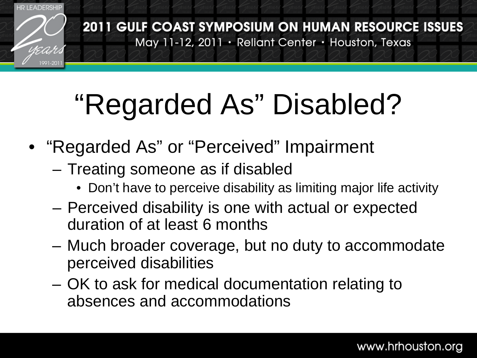

## "Regarded As" Disabled?

- "Regarded As" or "Perceived" Impairment
	- Treating someone as if disabled
		- Don't have to perceive disability as limiting major life activity
	- Perceived disability is one with actual or expected duration of at least 6 months
	- Much broader coverage, but no duty to accommodate perceived disabilities
	- OK to ask for medical documentation relating to absences and accommodations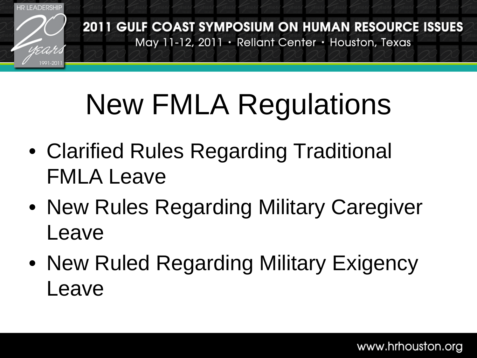

#### New FMLA Regulations

- Clarified Rules Regarding Traditional FMLA Leave
- New Rules Regarding Military Caregiver Leave
- New Ruled Regarding Military Exigency Leave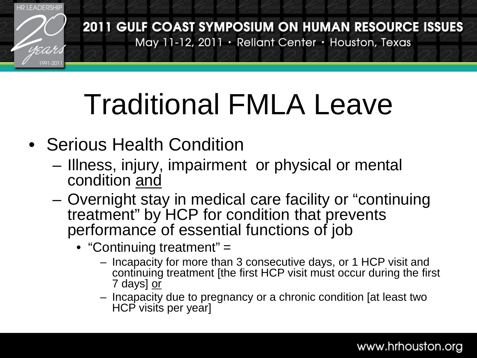

- Serious Health Condition
	- Illness, injury, impairment or physical or mental condition and
	- Overnight stay in medical care facility or "continuing treatment" by HCP for condition that prevents performance of essential functions of job
		- "Continuing treatment" =
			- Incapacity for more than 3 consecutive days, or 1 HCP visit and continuing treatment [the first HCP visit must occur during the first 7 days] or
			- Incapacity due to pregnancy or a chronic condition [at least two HCP visits per year]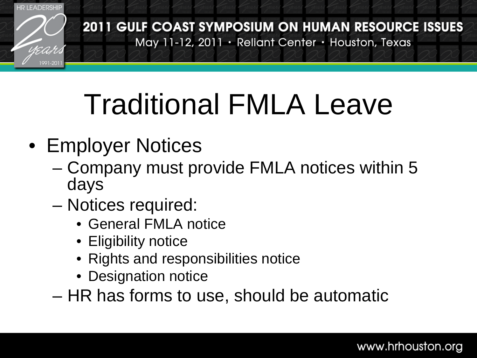

- Employer Notices
	- Company must provide FMLA notices within 5 days
	- Notices required:
		- General FMLA notice
		- Eligibility notice
		- Rights and responsibilities notice
		- Designation notice
	- HR has forms to use, should be automatic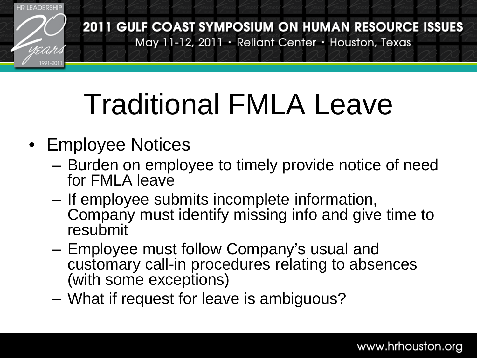

- Employee Notices
	- Burden on employee to timely provide notice of need for FMLA leave
	- If employee submits incomplete information, Company must identify missing info and give time to resubmit
	- Employee must follow Company's usual and customary call-in procedures relating to absences (with some exceptions)
	- What if request for leave is ambiguous?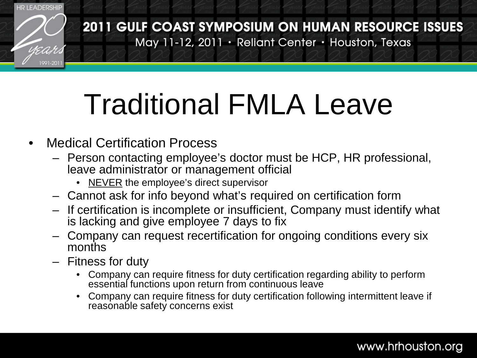

- Medical Certification Process
	- Person contacting employee's doctor must be HCP, HR professional, leave administrator or management official
		- NEVER the employee's direct supervisor
	- Cannot ask for info beyond what's required on certification form
	- If certification is incomplete or insufficient, Company must identify what is lacking and give employee 7 days to fix
	- Company can request recertification for ongoing conditions every six months
	- Fitness for duty
		- Company can require fitness for duty certification regarding ability to perform essential functions upon return from continuous leave
		- Company can require fitness for duty certification following intermittent leave if reasonable safety concerns exist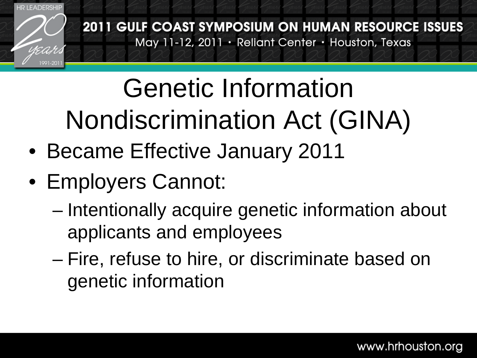

#### Genetic Information Nondiscrimination Act (GINA)

- Became Effective January 2011
- Employers Cannot:
	- Intentionally acquire genetic information about applicants and employees
	- Fire, refuse to hire, or discriminate based on genetic information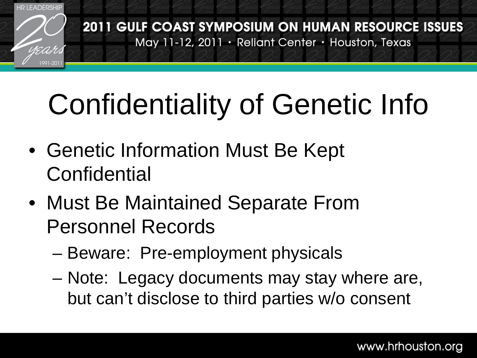

## Confidentiality of Genetic Info

- Genetic Information Must Be Kept **Confidential**
- Must Be Maintained Separate From Personnel Records
	- Beware: Pre-employment physicals
	- Note: Legacy documents may stay where are, but can't disclose to third parties w/o consent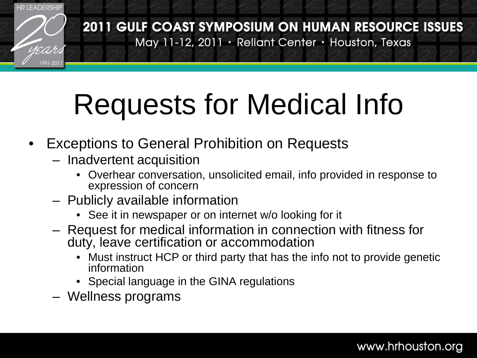

# Requests for Medical Info

- **Exceptions to General Prohibition on Requests** 
	- Inadvertent acquisition
		- Overhear conversation, unsolicited email, info provided in response to expression of concern
	- Publicly available information
		- See it in newspaper or on internet w/o looking for it
	- Request for medical information in connection with fitness for duty, leave certification or accommodation
		- Must instruct HCP or third party that has the info not to provide genetic information
		- Special language in the GINA regulations
	- Wellness programs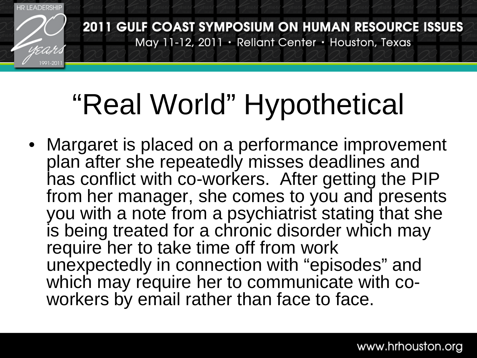

#### "Real World" Hypothetical

• Margaret is placed on a performance improvement plan after she repeatedly misses deadlines and has conflict with co-workers. After getting the PIP from her manager, she comes to you and presents you with a note from a psychiatrist stating that she is being treated for a chronic disorder which may require her to take time off from work unexpectedly in connection with "episodes" and which may require her to communicate with co-<br>workers by email rather than face to face.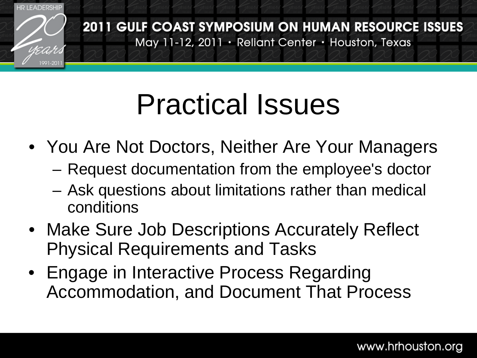

#### Practical Issues

- You Are Not Doctors, Neither Are Your Managers
	- Request documentation from the employee's doctor
	- Ask questions about limitations rather than medical conditions
- Make Sure Job Descriptions Accurately Reflect Physical Requirements and Tasks
- Engage in Interactive Process Regarding Accommodation, and Document That Process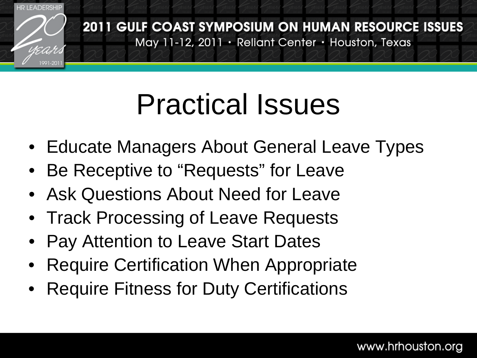

#### Practical Issues

- Educate Managers About General Leave Types
- Be Receptive to "Requests" for Leave
- Ask Questions About Need for Leave
- Track Processing of Leave Requests
- Pay Attention to Leave Start Dates
- Require Certification When Appropriate
- Require Fitness for Duty Certifications